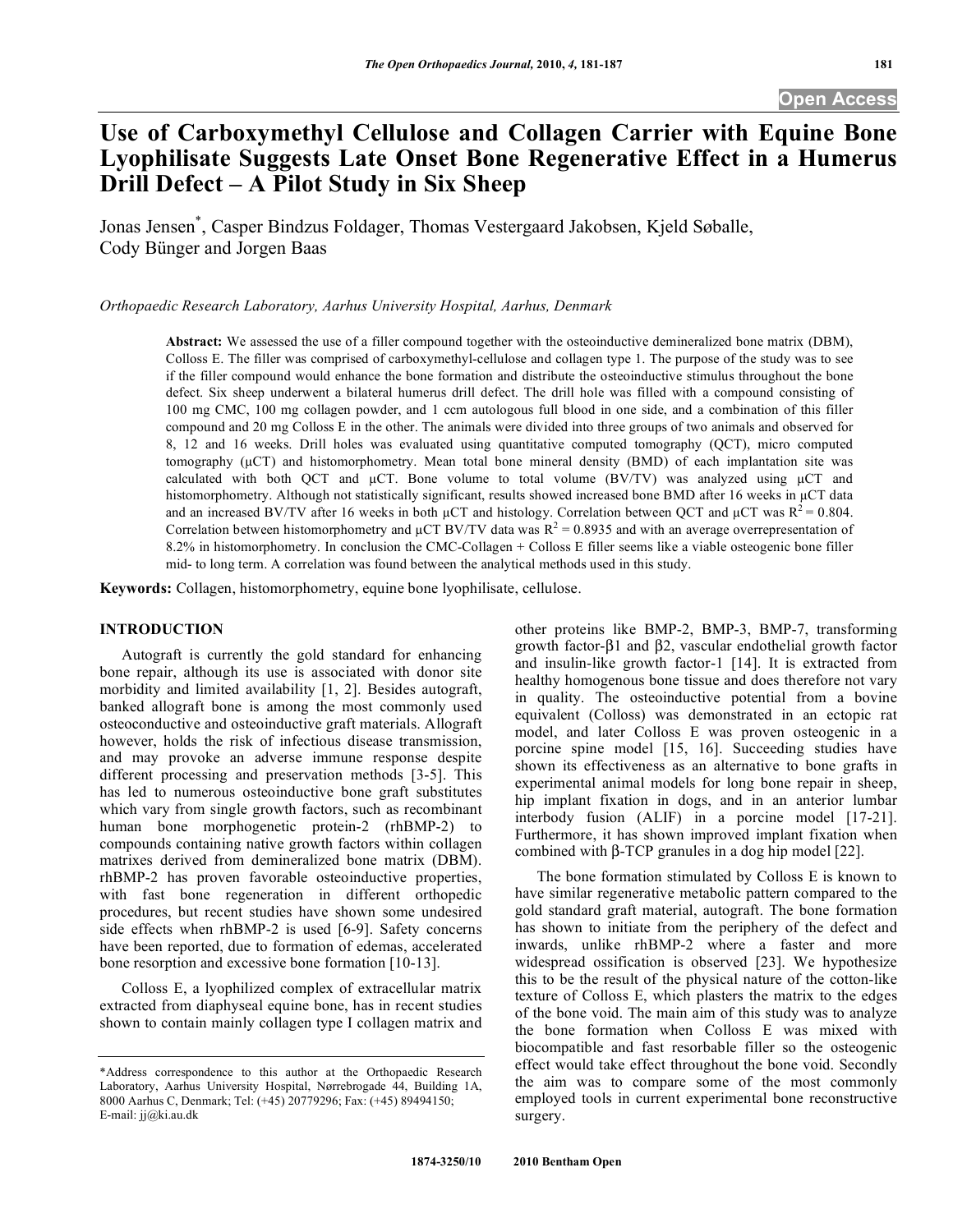# **Use of Carboxymethyl Cellulose and Collagen Carrier with Equine Bone Lyophilisate Suggests Late Onset Bone Regenerative Effect in a Humerus Drill Defect – A Pilot Study in Six Sheep**

Jonas Jensen\* , Casper Bindzus Foldager, Thomas Vestergaard Jakobsen, Kjeld Søballe, Cody Bünger and Jorgen Baas

*Orthopaedic Research Laboratory, Aarhus University Hospital, Aarhus, Denmark* 

**Abstract:** We assessed the use of a filler compound together with the osteoinductive demineralized bone matrix (DBM), Colloss E. The filler was comprised of carboxymethyl-cellulose and collagen type 1. The purpose of the study was to see if the filler compound would enhance the bone formation and distribute the osteoinductive stimulus throughout the bone defect. Six sheep underwent a bilateral humerus drill defect. The drill hole was filled with a compound consisting of 100 mg CMC, 100 mg collagen powder, and 1 ccm autologous full blood in one side, and a combination of this filler compound and 20 mg Colloss E in the other. The animals were divided into three groups of two animals and observed for 8, 12 and 16 weeks. Drill holes was evaluated using quantitative computed tomography (QCT), micro computed tomography ( $\mu$ CT) and histomorphometry. Mean total bone mineral density (BMD) of each implantation site was calculated with both QCT and  $\mu$ CT. Bone volume to total volume (BV/TV) was analyzed using  $\mu$ CT and histomorphometry. Although not statistically significant, results showed increased bone BMD after 16 weeks in µCT data and an increased BV/TV after 16 weeks in both  $\mu$ CT and histology. Correlation between QCT and  $\mu$ CT was R<sup>2</sup> = 0.804. Correlation between histomorphometry and  $\mu$ CT BV/TV data was  $R^2 = 0.8935$  and with an average overrepresentation of 8.2% in histomorphometry. In conclusion the CMC-Collagen + Colloss E filler seems like a viable osteogenic bone filler mid- to long term. A correlation was found between the analytical methods used in this study.

**Keywords:** Collagen, histomorphometry, equine bone lyophilisate, cellulose.

#### **INTRODUCTION**

 Autograft is currently the gold standard for enhancing bone repair, although its use is associated with donor site morbidity and limited availability [1, 2]. Besides autograft, banked allograft bone is among the most commonly used osteoconductive and osteoinductive graft materials. Allograft however, holds the risk of infectious disease transmission, and may provoke an adverse immune response despite different processing and preservation methods [3-5]. This has led to numerous osteoinductive bone graft substitutes which vary from single growth factors, such as recombinant human bone morphogenetic protein-2 (rhBMP-2) to compounds containing native growth factors within collagen matrixes derived from demineralized bone matrix (DBM). rhBMP-2 has proven favorable osteoinductive properties, with fast bone regeneration in different orthopedic procedures, but recent studies have shown some undesired side effects when rhBMP-2 is used [6-9]. Safety concerns have been reported, due to formation of edemas, accelerated bone resorption and excessive bone formation [10-13].

 Colloss E, a lyophilized complex of extracellular matrix extracted from diaphyseal equine bone, has in recent studies shown to contain mainly collagen type I collagen matrix and

other proteins like BMP-2, BMP-3, BMP-7, transforming growth factor- $\beta$ 1 and  $\beta$ 2, vascular endothelial growth factor and insulin-like growth factor-1 [14]. It is extracted from healthy homogenous bone tissue and does therefore not vary in quality. The osteoinductive potential from a bovine equivalent (Colloss) was demonstrated in an ectopic rat model, and later Colloss E was proven osteogenic in a porcine spine model [15, 16]. Succeeding studies have shown its effectiveness as an alternative to bone grafts in experimental animal models for long bone repair in sheep, hip implant fixation in dogs, and in an anterior lumbar interbody fusion (ALIF) in a porcine model [17-21]. Furthermore, it has shown improved implant fixation when combined with  $\beta$ -TCP granules in a dog hip model [22].

 The bone formation stimulated by Colloss E is known to have similar regenerative metabolic pattern compared to the gold standard graft material, autograft. The bone formation has shown to initiate from the periphery of the defect and inwards, unlike rhBMP-2 where a faster and more widespread ossification is observed [23]. We hypothesize this to be the result of the physical nature of the cotton-like texture of Colloss E, which plasters the matrix to the edges of the bone void. The main aim of this study was to analyze the bone formation when Colloss E was mixed with biocompatible and fast resorbable filler so the osteogenic effect would take effect throughout the bone void. Secondly the aim was to compare some of the most commonly employed tools in current experimental bone reconstructive surgery.

<sup>\*</sup>Address correspondence to this author at the Orthopaedic Research Laboratory, Aarhus University Hospital, Nørrebrogade 44, Building 1A, 8000 Aarhus C, Denmark; Tel: (+45) 20779296; Fax: (+45) 89494150; E-mail: jj@ki.au.dk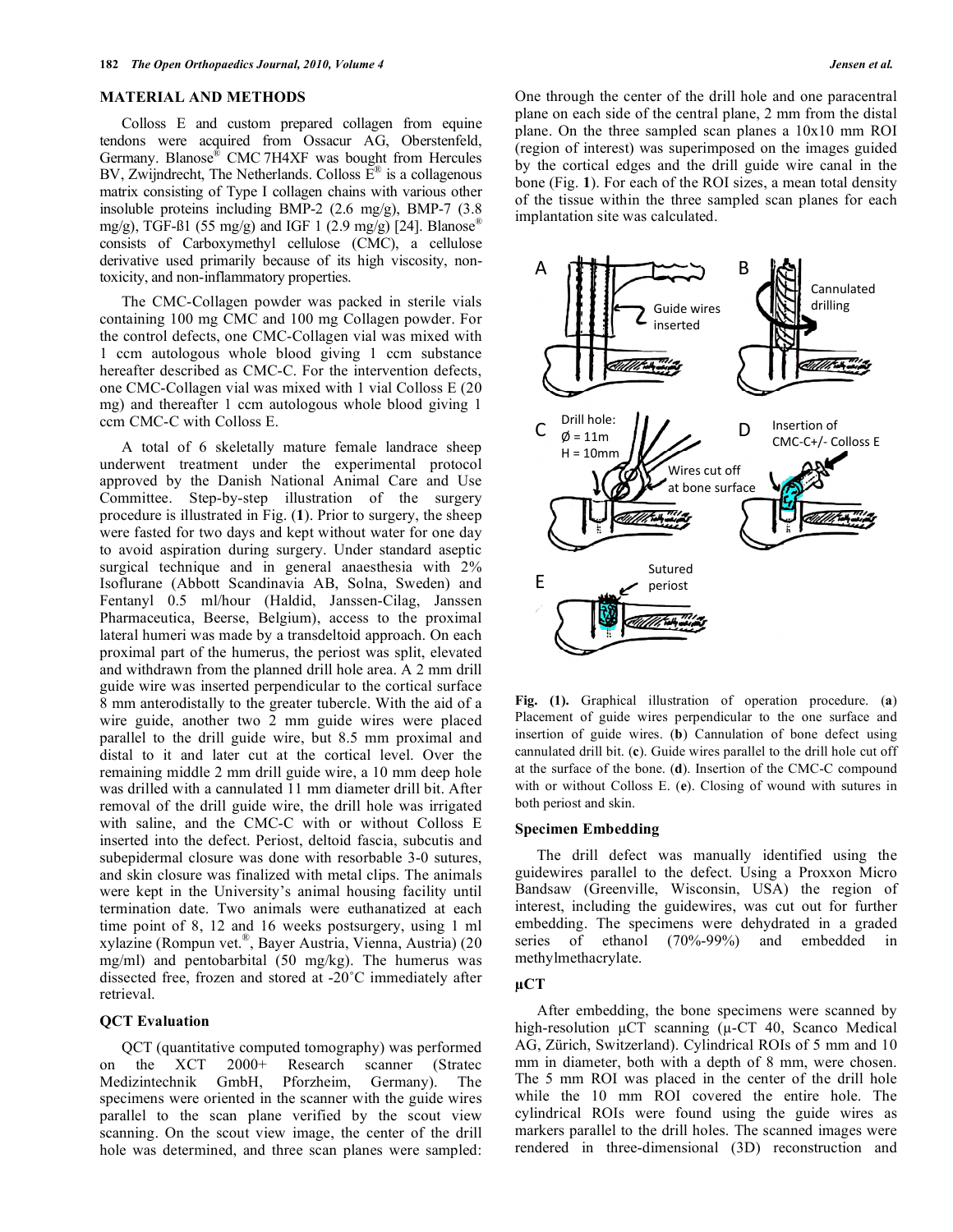#### **MATERIAL AND METHODS**

 Colloss E and custom prepared collagen from equine tendons were acquired from Ossacur AG, Oberstenfeld, Germany. Blanose® CMC 7H4XF was bought from Hercules BV, Zwijndrecht, The Netherlands. Colloss  $\overline{E}^{\otimes}$  is a collagenous matrix consisting of Type I collagen chains with various other insoluble proteins including BMP-2 (2.6 mg/g), BMP-7 (3.8 mg/g), TGF- $\beta$ 1 (55 mg/g) and IGF 1 (2.9 mg/g) [24]. Blanose<sup>®</sup> consists of Carboxymethyl cellulose (CMC), a cellulose derivative used primarily because of its high viscosity, nontoxicity, and non-inflammatory properties.

 The CMC-Collagen powder was packed in sterile vials containing 100 mg CMC and 100 mg Collagen powder. For the control defects, one CMC-Collagen vial was mixed with 1 ccm autologous whole blood giving 1 ccm substance hereafter described as CMC-C. For the intervention defects, one CMC-Collagen vial was mixed with 1 vial Colloss E (20 mg) and thereafter 1 ccm autologous whole blood giving 1 ccm CMC-C with Colloss E.

 A total of 6 skeletally mature female landrace sheep underwent treatment under the experimental protocol approved by the Danish National Animal Care and Use Committee. Step-by-step illustration of the surgery procedure is illustrated in Fig. (**1**). Prior to surgery, the sheep were fasted for two days and kept without water for one day to avoid aspiration during surgery. Under standard aseptic surgical technique and in general anaesthesia with 2% Isoflurane (Abbott Scandinavia AB, Solna, Sweden) and Fentanyl 0.5 ml/hour (Haldid, Janssen-Cilag, Janssen Pharmaceutica, Beerse, Belgium), access to the proximal lateral humeri was made by a transdeltoid approach. On each proximal part of the humerus, the periost was split, elevated and withdrawn from the planned drill hole area. A 2 mm drill guide wire was inserted perpendicular to the cortical surface 8 mm anterodistally to the greater tubercle. With the aid of a wire guide, another two 2 mm guide wires were placed parallel to the drill guide wire, but 8.5 mm proximal and distal to it and later cut at the cortical level. Over the remaining middle 2 mm drill guide wire, a 10 mm deep hole was drilled with a cannulated 11 mm diameter drill bit. After removal of the drill guide wire, the drill hole was irrigated with saline, and the CMC-C with or without Colloss E inserted into the defect. Periost, deltoid fascia, subcutis and subepidermal closure was done with resorbable 3-0 sutures, and skin closure was finalized with metal clips. The animals were kept in the University's animal housing facility until termination date. Two animals were euthanatized at each time point of 8, 12 and 16 weeks postsurgery, using 1 ml xylazine (Rompun vet.®, Bayer Austria, Vienna, Austria) (20 mg/ml) and pentobarbital (50 mg/kg). The humerus was dissected free, frozen and stored at -20˚C immediately after retrieval.

#### **QCT Evaluation**

 QCT (quantitative computed tomography) was performed on the XCT 2000+ Research scanner (Stratec Medizintechnik GmbH, Pforzheim, Germany). The specimens were oriented in the scanner with the guide wires parallel to the scan plane verified by the scout view scanning. On the scout view image, the center of the drill hole was determined, and three scan planes were sampled: One through the center of the drill hole and one paracentral plane on each side of the central plane, 2 mm from the distal plane. On the three sampled scan planes a 10x10 mm ROI (region of interest) was superimposed on the images guided by the cortical edges and the drill guide wire canal in the bone (Fig. **1**). For each of the ROI sizes, a mean total density of the tissue within the three sampled scan planes for each implantation site was calculated.



**Fig. (1).** Graphical illustration of operation procedure. (**a**) Placement of guide wires perpendicular to the one surface and insertion of guide wires. (**b**) Cannulation of bone defect using cannulated drill bit. (**c**). Guide wires parallel to the drill hole cut off at the surface of the bone. (**d**). Insertion of the CMC-C compound with or without Colloss E. (**e**). Closing of wound with sutures in both periost and skin.

### **Specimen Embedding**

 The drill defect was manually identified using the guidewires parallel to the defect. Using a Proxxon Micro Bandsaw (Greenville, Wisconsin, USA) the region of interest, including the guidewires, was cut out for further embedding. The specimens were dehydrated in a graded series of ethanol (70%-99%) and embedded in methylmethacrylate.

### $\mu$ CT

 After embedding, the bone specimens were scanned by high-resolution  $\mu$ CT scanning ( $\mu$ -CT 40, Scanco Medical AG, Zürich, Switzerland). Cylindrical ROIs of 5 mm and 10 mm in diameter, both with a depth of 8 mm, were chosen. The 5 mm ROI was placed in the center of the drill hole while the 10 mm ROI covered the entire hole. The cylindrical ROIs were found using the guide wires as markers parallel to the drill holes. The scanned images were rendered in three-dimensional (3D) reconstruction and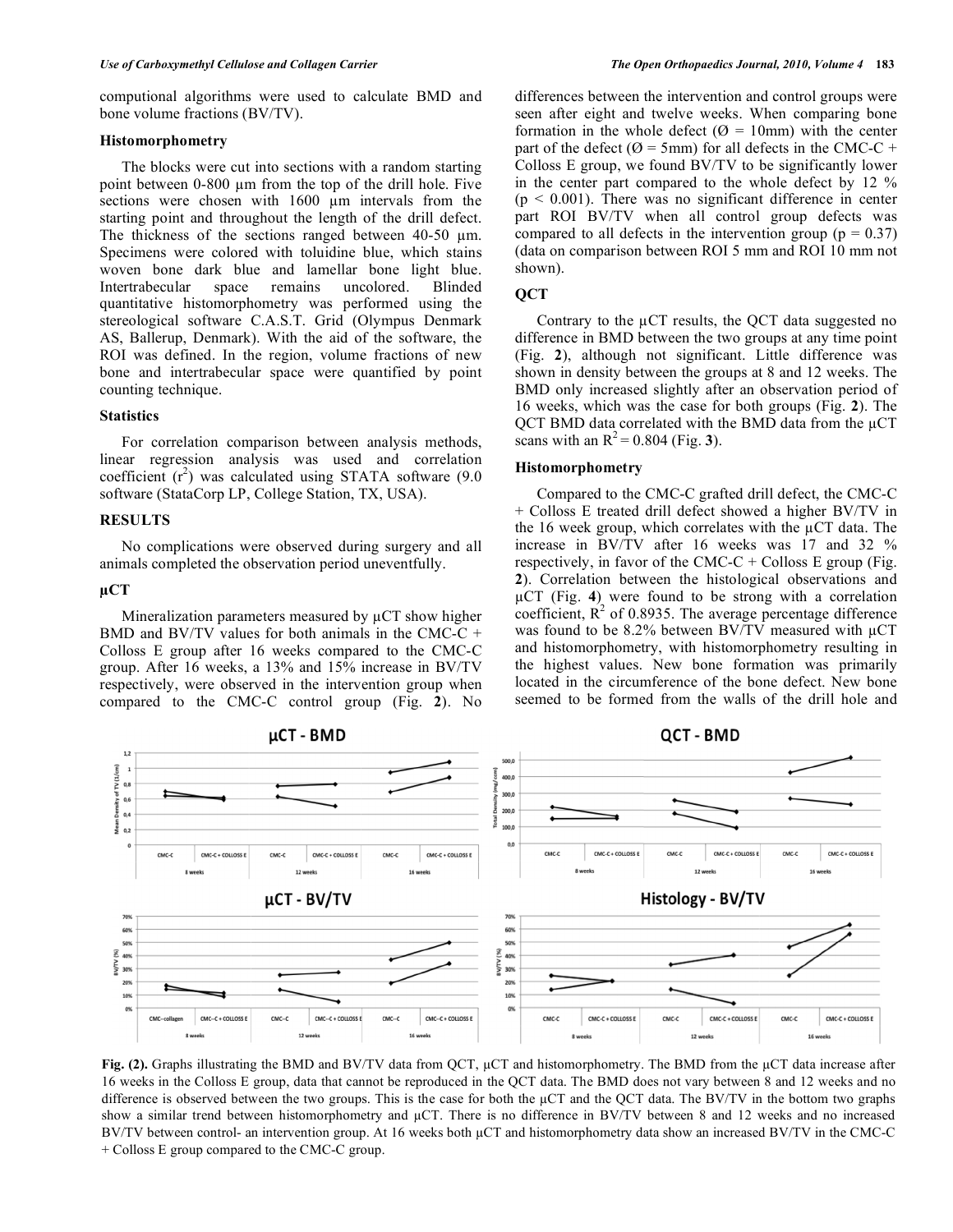# **Histomorphometry**

 The blocks were cut into sections with a random starting point between 0-800 µm from the top of the drill hole. Five sections were chosen with  $1600 \mu m$  intervals from the starting point and throughout the length of the drill defect. The thickness of the sections ranged between 40-50 µm. Specimens were colored with toluidine blue, which stains woven bone dark blue and lamellar bone light blue. Intertrabecular space remains uncolored. Blinded quantitative histomorphometry was performed using the stereological software C.A.S.T. Grid (Olympus Denmark AS, Ballerup, Denmark). With the aid of the software, the ROI was defined. In the region, volume fractions of new bone and intertrabecular space were quantified by point counting technique.

# **Statistics**

 For correlation comparison between analysis methods, linear regression analysis was used and correlation coefficient  $(r^2)$  was calculated using STATA software (9.0) software (StataCorp LP, College Station, TX, USA).

# **RESULTS**

 No complications were observed during surgery and all animals completed the observation period uneventfully.

# uCT

Mineralization parameters measured by  $\mu$ CT show higher BMD and BV/TV values for both animals in the CMC-C + Colloss E group after 16 weeks compared to the CMC-C group. After 16 weeks, a 13% and 15% increase in BV/TV respectively, were observed in the intervention group when compared to the CMC-C control group (Fig. **2**). No

differences between the intervention and control groups were seen after eight and twelve weeks. When comparing bone formation in the whole defect ( $\varnothing$  = 10mm) with the center part of the defect ( $\varnothing$  = 5mm) for all defects in the CMC-C + Colloss E group, we found BV/TV to be significantly lower in the center part compared to the whole defect by 12 %  $(p < 0.001)$ . There was no significant difference in center part ROI BV/TV when all control group defects was compared to all defects in the intervention group ( $p = 0.37$ ) (data on comparison between ROI 5 mm and ROI 10 mm not shown).

#### **QCT**

Contrary to the  $\mu$ CT results, the OCT data suggested no difference in BMD between the two groups at any time point (Fig. **2**), although not significant. Little difference was shown in density between the groups at 8 and 12 weeks. The BMD only increased slightly after an observation period of 16 weeks, which was the case for both groups (Fig. **2**). The  $QCT$  BMD data correlated with the BMD data from the  $\mu$ CT scans with an  $R^2 = 0.804$  (Fig. 3).

#### **Histomorphometry**

 Compared to the CMC-C grafted drill defect, the CMC-C + Colloss E treated drill defect showed a higher BV/TV in the 16 week group, which correlates with the  $\mu$ CT data. The increase in BV/TV after 16 weeks was 17 and 32 % respectively, in favor of the CMC-C + Colloss E group (Fig. **2**). Correlation between the histological observations and CT (Fig. **4**) were found to be strong with a correlation coefficient,  $R^2$  of 0.8935. The average percentage difference was found to be 8.2% between BV/TV measured with  $\mu$ CT and histomorphometry, with histomorphometry resulting in the highest values. New bone formation was primarily located in the circumference of the bone defect. New bone seemed to be formed from the walls of the drill hole and



Fig. (2). Graphs illustrating the BMD and BV/TV data from QCT,  $\mu$ CT and histomorphometry. The BMD from the  $\mu$ CT data increase after 16 weeks in the Colloss E group, data that cannot be reproduced in the QCT data. The BMD does not vary between 8 and 12 weeks and no difference is observed between the two groups. This is the case for both the  $\mu$ CT and the QCT data. The BV/TV in the bottom two graphs show a similar trend between histomorphometry and  $\mu$ CT. There is no difference in BV/TV between 8 and 12 weeks and no increased BV/TV between control- an intervention group. At 16 weeks both  $\mu$ CT and histomorphometry data show an increased BV/TV in the CMC-C + Colloss E group compared to the CMC-C group.

QCT - BMD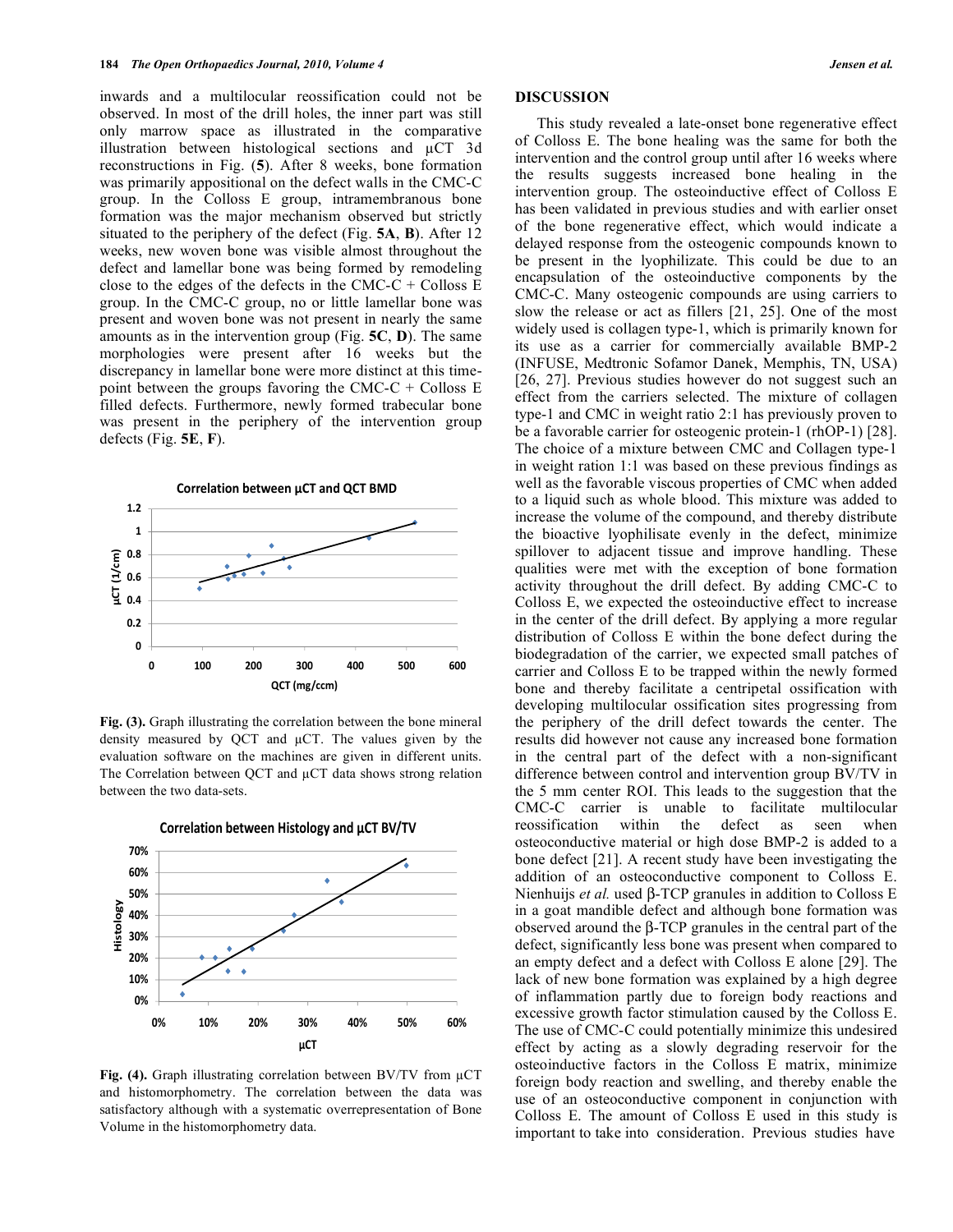inwards and a multilocular reossification could not be observed. In most of the drill holes, the inner part was still only marrow space as illustrated in the comparative illustration between histological sections and  $\mu$ CT 3d reconstructions in Fig. (**5**). After 8 weeks, bone formation was primarily appositional on the defect walls in the CMC-C group. In the Colloss E group, intramembranous bone formation was the major mechanism observed but strictly situated to the periphery of the defect (Fig. **5A**, **B**). After 12 weeks, new woven bone was visible almost throughout the defect and lamellar bone was being formed by remodeling close to the edges of the defects in the CMC-C + Colloss  $E$ group. In the CMC-C group, no or little lamellar bone was present and woven bone was not present in nearly the same amounts as in the intervention group (Fig. **5C**, **D**). The same morphologies were present after 16 weeks but the discrepancy in lamellar bone were more distinct at this timepoint between the groups favoring the CMC-C + Colloss  $E$ filled defects. Furthermore, newly formed trabecular bone was present in the periphery of the intervention group defects (Fig. **5E**, **F**).



**Fig. (3).** Graph illustrating the correlation between the bone mineral density measured by QCT and  $\mu$ CT. The values given by the evaluation software on the machines are given in different units. The Correlation between QCT and  $\mu$ CT data shows strong relation between the two data-sets.



**Correlation between Histology and µCT BV/TV**

Fig. (4). Graph illustrating correlation between BV/TV from  $\mu$ CT and histomorphometry. The correlation between the data was satisfactory although with a systematic overrepresentation of Bone Volume in the histomorphometry data.

#### **DISCUSSION**

 This study revealed a late-onset bone regenerative effect of Colloss E. The bone healing was the same for both the intervention and the control group until after 16 weeks where the results suggests increased bone healing in the intervention group. The osteoinductive effect of Colloss E has been validated in previous studies and with earlier onset of the bone regenerative effect, which would indicate a delayed response from the osteogenic compounds known to be present in the lyophilizate. This could be due to an encapsulation of the osteoinductive components by the CMC-C. Many osteogenic compounds are using carriers to slow the release or act as fillers [21, 25]. One of the most widely used is collagen type-1, which is primarily known for its use as a carrier for commercially available BMP-2 (INFUSE, Medtronic Sofamor Danek, Memphis, TN, USA) [26, 27]. Previous studies however do not suggest such an effect from the carriers selected. The mixture of collagen type-1 and CMC in weight ratio 2:1 has previously proven to be a favorable carrier for osteogenic protein-1 (rhOP-1) [28]. The choice of a mixture between CMC and Collagen type-1 in weight ration 1:1 was based on these previous findings as well as the favorable viscous properties of CMC when added to a liquid such as whole blood. This mixture was added to increase the volume of the compound, and thereby distribute the bioactive lyophilisate evenly in the defect, minimize spillover to adjacent tissue and improve handling. These qualities were met with the exception of bone formation activity throughout the drill defect. By adding CMC-C to Colloss E, we expected the osteoinductive effect to increase in the center of the drill defect. By applying a more regular distribution of Colloss E within the bone defect during the biodegradation of the carrier, we expected small patches of carrier and Colloss E to be trapped within the newly formed bone and thereby facilitate a centripetal ossification with developing multilocular ossification sites progressing from the periphery of the drill defect towards the center. The results did however not cause any increased bone formation in the central part of the defect with a non-significant difference between control and intervention group BV/TV in the 5 mm center ROI. This leads to the suggestion that the CMC-C carrier is unable to facilitate multilocular reossification within the defect as seen when osteoconductive material or high dose BMP-2 is added to a bone defect [21]. A recent study have been investigating the addition of an osteoconductive component to Colloss E. Nienhuijs *et al.* used  $\beta$ -TCP granules in addition to Colloss E in a goat mandible defect and although bone formation was observed around the  $\beta$ -TCP granules in the central part of the defect, significantly less bone was present when compared to an empty defect and a defect with Colloss E alone [29]. The lack of new bone formation was explained by a high degree of inflammation partly due to foreign body reactions and excessive growth factor stimulation caused by the Colloss E. The use of CMC-C could potentially minimize this undesired effect by acting as a slowly degrading reservoir for the osteoinductive factors in the Colloss E matrix, minimize foreign body reaction and swelling, and thereby enable the use of an osteoconductive component in conjunction with Colloss E. The amount of Colloss E used in this study is important to take into consideration. Previous studies have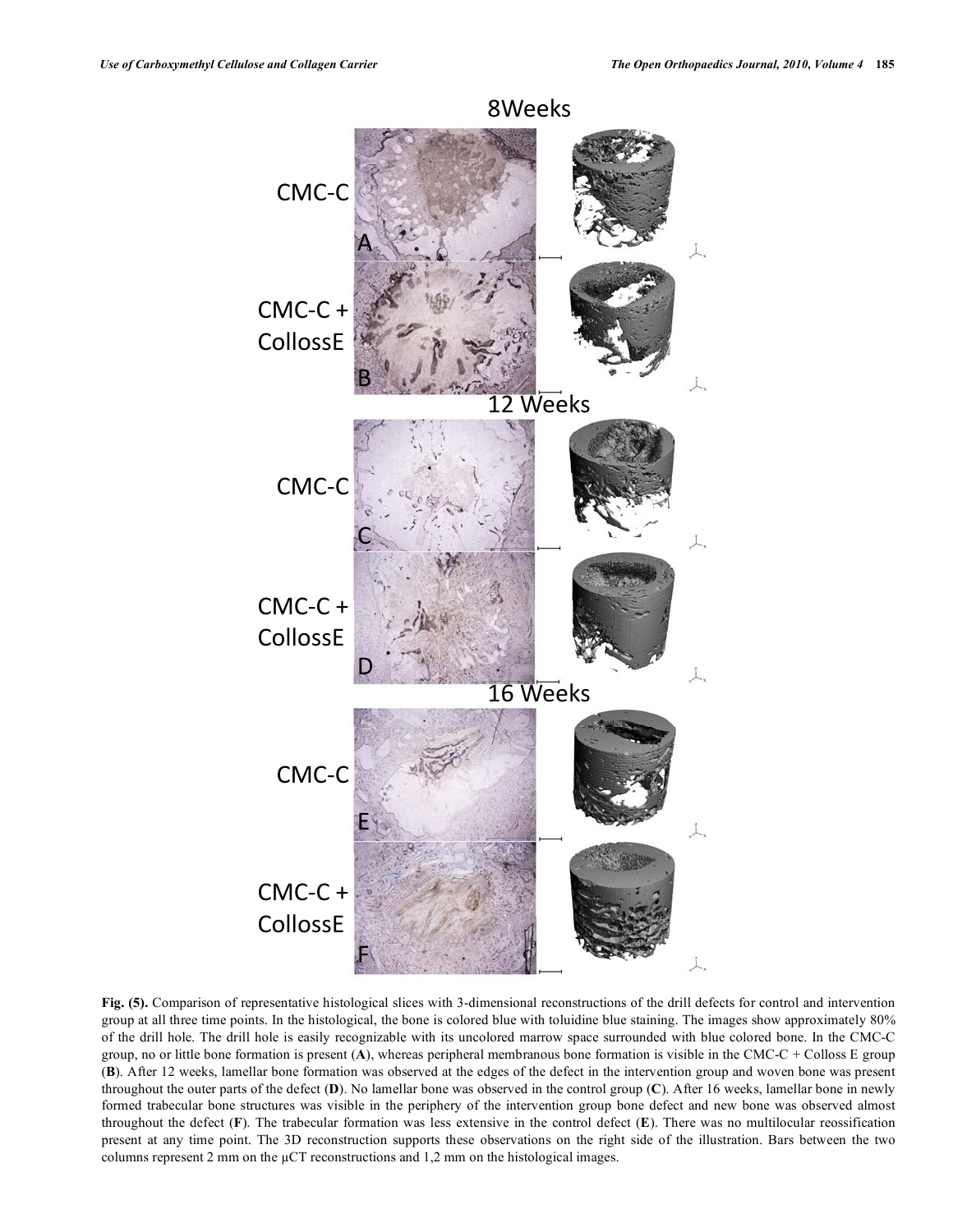

**Fig. (5).** Comparison of representative histological slices with 3-dimensional reconstructions of the drill defects for control and intervention group at all three time points. In the histological, the bone is colored blue with toluidine blue staining. The images show approximately 80% of the drill hole. The drill hole is easily recognizable with its uncolored marrow space surrounded with blue colored bone. In the CMC-C group, no or little bone formation is present (**A**), whereas peripheral membranous bone formation is visible in the CMC-C + Colloss E group (**B**). After 12 weeks, lamellar bone formation was observed at the edges of the defect in the intervention group and woven bone was present throughout the outer parts of the defect (**D**). No lamellar bone was observed in the control group (**C**). After 16 weeks, lamellar bone in newly formed trabecular bone structures was visible in the periphery of the intervention group bone defect and new bone was observed almost throughout the defect (**F**). The trabecular formation was less extensive in the control defect (**E**). There was no multilocular reossification present at any time point. The 3D reconstruction supports these observations on the right side of the illustration. Bars between the two columns represent 2 mm on the  $\mu$ CT reconstructions and 1,2 mm on the histological images.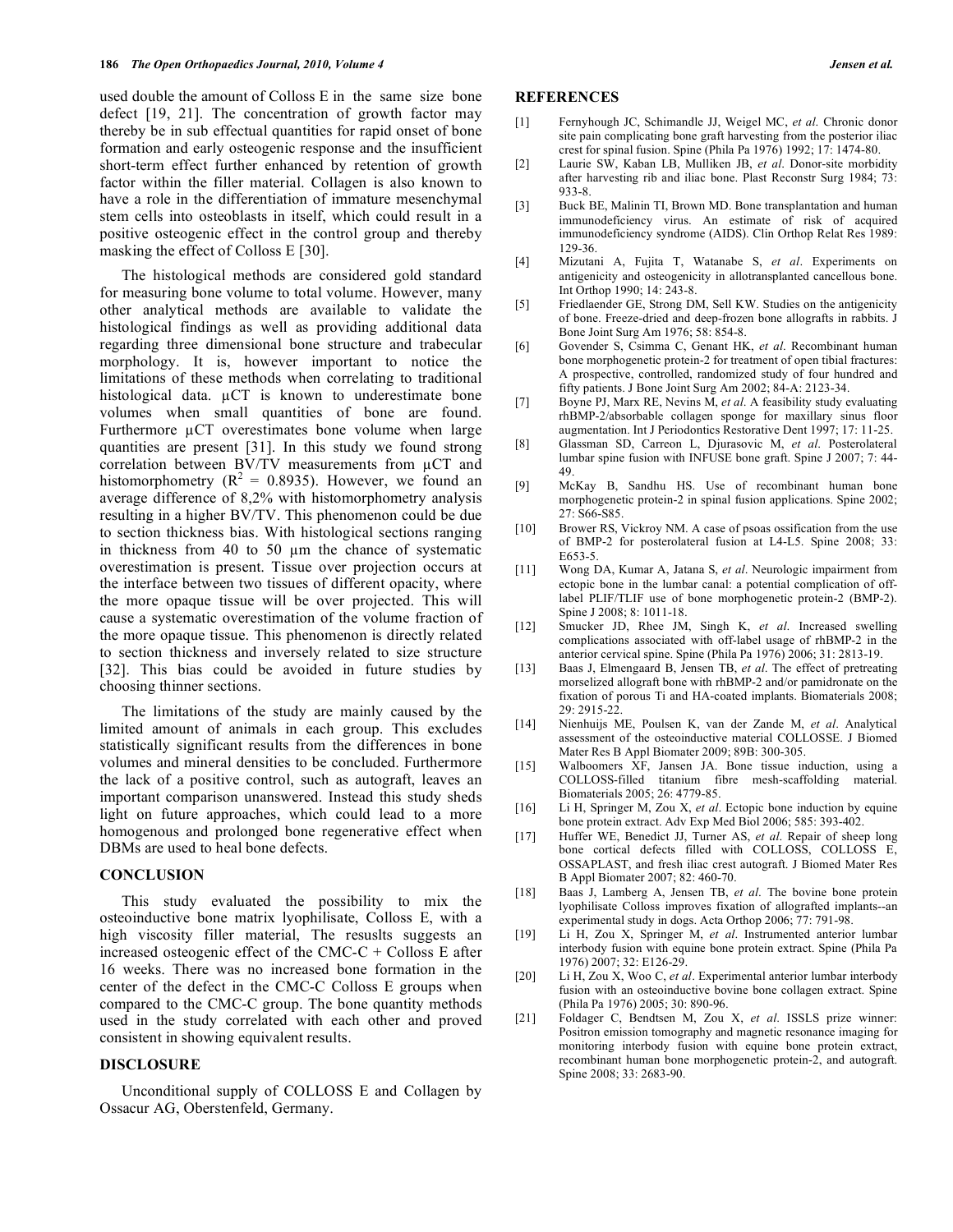used double the amount of Colloss E in the same size bone defect [19, 21]. The concentration of growth factor may thereby be in sub effectual quantities for rapid onset of bone formation and early osteogenic response and the insufficient short-term effect further enhanced by retention of growth factor within the filler material. Collagen is also known to have a role in the differentiation of immature mesenchymal stem cells into osteoblasts in itself, which could result in a positive osteogenic effect in the control group and thereby masking the effect of Colloss E [30].

 The histological methods are considered gold standard for measuring bone volume to total volume. However, many other analytical methods are available to validate the histological findings as well as providing additional data regarding three dimensional bone structure and trabecular morphology. It is, however important to notice the limitations of these methods when correlating to traditional histological data.  $\mu$ CT is known to underestimate bone volumes when small quantities of bone are found. Furthermore  $\mu$ CT overestimates bone volume when large quantities are present [31]. In this study we found strong correlation between BV/TV measurements from  $\mu$ CT and histomorphometry ( $R^2 = 0.8935$ ). However, we found an average difference of 8,2% with histomorphometry analysis resulting in a higher BV/TV. This phenomenon could be due to section thickness bias. With histological sections ranging in thickness from 40 to 50 um the chance of systematic overestimation is present. Tissue over projection occurs at the interface between two tissues of different opacity, where the more opaque tissue will be over projected. This will cause a systematic overestimation of the volume fraction of the more opaque tissue. This phenomenon is directly related to section thickness and inversely related to size structure [32]. This bias could be avoided in future studies by choosing thinner sections.

 The limitations of the study are mainly caused by the limited amount of animals in each group. This excludes statistically significant results from the differences in bone volumes and mineral densities to be concluded. Furthermore the lack of a positive control, such as autograft, leaves an important comparison unanswered. Instead this study sheds light on future approaches, which could lead to a more homogenous and prolonged bone regenerative effect when DBMs are used to heal bone defects.

#### **CONCLUSION**

 This study evaluated the possibility to mix the osteoinductive bone matrix lyophilisate, Colloss E, with a high viscosity filler material, The resuslts suggests an increased osteogenic effect of the CMC-C  $+$  Colloss E after 16 weeks. There was no increased bone formation in the center of the defect in the CMC-C Colloss E groups when compared to the CMC-C group. The bone quantity methods used in the study correlated with each other and proved consistent in showing equivalent results.

# **DISCLOSURE**

 Unconditional supply of COLLOSS E and Collagen by Ossacur AG, Oberstenfeld, Germany.

#### **REFERENCES**

- [1] Fernyhough JC, Schimandle JJ, Weigel MC, *et al*. Chronic donor site pain complicating bone graft harvesting from the posterior iliac crest for spinal fusion. Spine (Phila Pa 1976) 1992; 17: 1474-80.
- [2] Laurie SW, Kaban LB, Mulliken JB, *et al*. Donor-site morbidity after harvesting rib and iliac bone. Plast Reconstr Surg 1984; 73: 933-8.
- [3] Buck BE, Malinin TI, Brown MD. Bone transplantation and human immunodeficiency virus. An estimate of risk of acquired immunodeficiency syndrome (AIDS). Clin Orthop Relat Res 1989: 129-36.
- [4] Mizutani A, Fujita T, Watanabe S, *et al*. Experiments on antigenicity and osteogenicity in allotransplanted cancellous bone. Int Orthop 1990; 14: 243-8.
- [5] Friedlaender GE, Strong DM, Sell KW. Studies on the antigenicity of bone. Freeze-dried and deep-frozen bone allografts in rabbits. J Bone Joint Surg Am 1976; 58: 854-8.
- [6] Govender S, Csimma C, Genant HK, *et al*. Recombinant human bone morphogenetic protein-2 for treatment of open tibial fractures: A prospective, controlled, randomized study of four hundred and fifty patients. J Bone Joint Surg Am 2002; 84-A: 2123-34.
- [7] Boyne PJ, Marx RE, Nevins M, *et al*. A feasibility study evaluating rhBMP-2/absorbable collagen sponge for maxillary sinus floor augmentation. Int J Periodontics Restorative Dent 1997; 17: 11-25.
- [8] Glassman SD, Carreon L, Djurasovic M, *et al*. Posterolateral lumbar spine fusion with INFUSE bone graft. Spine J 2007; 7: 44- 49.
- [9] McKay B, Sandhu HS. Use of recombinant human bone morphogenetic protein-2 in spinal fusion applications. Spine 2002; 27: S66-S85.
- [10] Brower RS, Vickroy NM. A case of psoas ossification from the use of BMP-2 for posterolateral fusion at L4-L5. Spine 2008; 33: E653-5.
- [11] Wong DA, Kumar A, Jatana S, *et al*. Neurologic impairment from ectopic bone in the lumbar canal: a potential complication of offlabel PLIF/TLIF use of bone morphogenetic protein-2 (BMP-2). Spine J 2008; 8: 1011-18.
- [12] Smucker JD, Rhee JM, Singh K, *et al*. Increased swelling complications associated with off-label usage of rhBMP-2 in the anterior cervical spine. Spine (Phila Pa 1976) 2006; 31: 2813-19.
- [13] Baas J, Elmengaard B, Jensen TB, *et al*. The effect of pretreating morselized allograft bone with rhBMP-2 and/or pamidronate on the fixation of porous Ti and HA-coated implants. Biomaterials 2008; 29: 2915-22.
- [14] Nienhuijs ME, Poulsen K, van der Zande M, *et al*. Analytical assessment of the osteoinductive material COLLOSSE. J Biomed Mater Res B Appl Biomater 2009; 89B: 300-305.
- [15] Walboomers XF, Jansen JA. Bone tissue induction, using a COLLOSS-filled titanium fibre mesh-scaffolding material. Biomaterials 2005; 26: 4779-85.
- [16] Li H, Springer M, Zou X, *et al*. Ectopic bone induction by equine bone protein extract. Adv Exp Med Biol 2006; 585: 393-402.
- [17] Huffer WE, Benedict JJ, Turner AS, *et al*. Repair of sheep long bone cortical defects filled with COLLOSS, COLLOSS E, OSSAPLAST, and fresh iliac crest autograft. J Biomed Mater Res B Appl Biomater 2007; 82: 460-70.
- [18] Baas J, Lamberg A, Jensen TB, *et al*. The bovine bone protein lyophilisate Colloss improves fixation of allografted implants--an experimental study in dogs. Acta Orthop 2006; 77: 791-98.
- [19] Li H, Zou X, Springer M, *et al*. Instrumented anterior lumbar interbody fusion with equine bone protein extract. Spine (Phila Pa 1976) 2007; 32: E126-29.
- [20] Li H, Zou X, Woo C, *et al*. Experimental anterior lumbar interbody fusion with an osteoinductive bovine bone collagen extract. Spine (Phila Pa 1976) 2005; 30: 890-96.
- [21] Foldager C, Bendtsen M, Zou X, *et al*. ISSLS prize winner: Positron emission tomography and magnetic resonance imaging for monitoring interbody fusion with equine bone protein extract, recombinant human bone morphogenetic protein-2, and autograft. Spine 2008; 33: 2683-90.